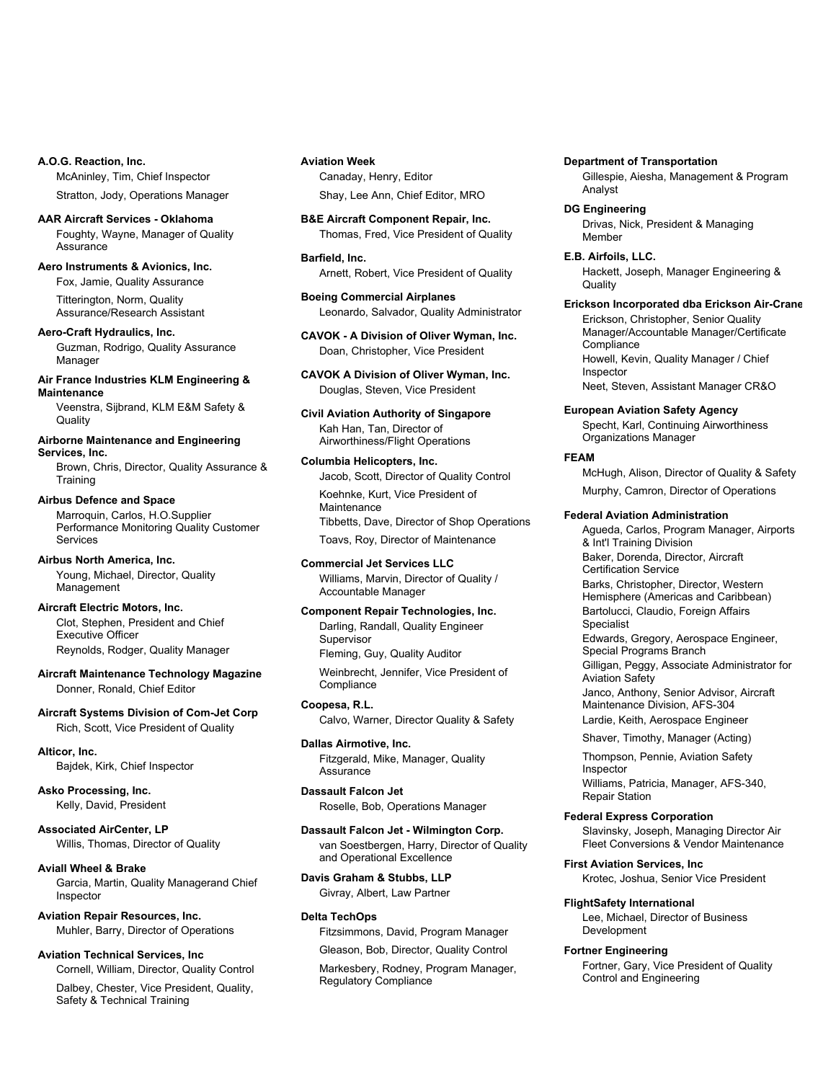**A.O.G. Reaction, Inc.** McAninley, Tim, Chief Inspector Stratton, Jody, Operations Manager

**AAR Aircraft Services - Oklahoma** Foughty, Wayne, Manager of Quality Assurance

**Aero Instruments & Avionics, Inc.** Fox, Jamie, Quality Assurance

> Titterington, Norm, Quality Assurance/Research Assistant

**Aero-Craft Hydraulics, Inc.** Guzman, Rodrigo, Quality Assurance Manager

**Air France Industries KLM Engineering & Maintenance** Veenstra, Sijbrand, KLM E&M Safety &

**Quality** 

# **Airborne Maintenance and Engineering Services, Inc.**

Brown, Chris, Director, Quality Assurance & **Training** 

# **Airbus Defence and Space**

Marroquin, Carlos, H.O.Supplier Performance Monitoring Quality Customer Services

**Airbus North America, Inc.**

Young, Michael, Director, Quality Management

# **Aircraft Electric Motors, Inc.**

Clot, Stephen, President and Chief Executive Officer Reynolds, Rodger, Quality Manager

**Aircraft Maintenance Technology Magazine** Donner, Ronald, Chief Editor

# **Aircraft Systems Division of Com-Jet Corp** Rich, Scott, Vice President of Quality

**Alticor, Inc.**

Bajdek, Kirk, Chief Inspector

**Asko Processing, Inc.** Kelly, David, President

**Associated AirCenter, LP** Willis, Thomas, Director of Quality

# **Aviall Wheel & Brake**

Garcia, Martin, Quality Managerand Chief Inspector

**Aviation Repair Resources, Inc.** Muhler, Barry, Director of Operations

# **Aviation Technical Services, Inc**

Cornell, William, Director, Quality Control

Dalbey, Chester, Vice President, Quality, Safety & Technical Training

# **Aviation Week** Canaday, Henry, Editor

Shay, Lee Ann, Chief Editor, MRO

**B&E Aircraft Component Repair, Inc.** Thomas, Fred, Vice President of Quality

# **Barfield, Inc.**

Arnett, Robert, Vice President of Quality

**Boeing Commercial Airplanes** Leonardo, Salvador, Quality Administrator

**CAVOK - A Division of Oliver Wyman, Inc.** Doan, Christopher, Vice President

**CAVOK A Division of Oliver Wyman, Inc.** Douglas, Steven, Vice President

**Civil Aviation Authority of Singapore** Kah Han, Tan, Director of Airworthiness/Flight Operations

# **Columbia Helicopters, Inc.**

Jacob, Scott, Director of Quality Control Koehnke, Kurt, Vice President of **Maintenance** 

Tibbetts, Dave, Director of Shop Operations Toavs, Roy, Director of Maintenance

# **Commercial Jet Services LLC**

Williams, Marvin, Director of Quality / Accountable Manager

# **Component Repair Technologies, Inc.**

Darling, Randall, Quality Engineer **Supervisor** Fleming, Guy, Quality Auditor

Weinbrecht, Jennifer, Vice President of **Compliance** 

# **Coopesa, R.L.** Calvo, Warner, Director Quality & Safety

**Dallas Airmotive, Inc.** Fitzgerald, Mike, Manager, Quality **Assurance** 

**Dassault Falcon Jet** Roselle, Bob, Operations Manager

**Dassault Falcon Jet - Wilmington Corp.** van Soestbergen, Harry, Director of Quality and Operational Excellence

# **Davis Graham & Stubbs, LLP** Givray, Albert, Law Partner

# **Delta TechOps**

Fitzsimmons, David, Program Manager

Gleason, Bob, Director, Quality Control

Markesbery, Rodney, Program Manager, Regulatory Compliance

## **Department of Transportation**

Gillespie, Aiesha, Management & Program Analyst

**DG Engineering** Drivas, Nick, President & Managing Member

**E.B. Airfoils, LLC.** Hackett, Joseph, Manager Engineering & **Quality** 

**Erickson Incorporated dba Erickson Air-Crane**

Erickson, Christopher, Senior Quality Manager/Accountable Manager/Certificate **Compliance** Howell, Kevin, Quality Manager / Chief Inspector

Neet, Steven, Assistant Manager CR&O

**European Aviation Safety Agency** Specht, Karl, Continuing Airworthiness Organizations Manager

# **FEAM**

McHugh, Alison, Director of Quality & Safety Murphy, Camron, Director of Operations

# **Federal Aviation Administration**

Agueda, Carlos, Program Manager, Airports & Int'l Training Division Baker, Dorenda, Director, Aircraft Certification Service Barks, Christopher, Director, Western Hemisphere (Americas and Caribbean) Bartolucci, Claudio, Foreign Affairs Specialist Edwards, Gregory, Aerospace Engineer, Special Programs Branch Gilligan, Peggy, Associate Administrator for Aviation Safety

Janco, Anthony, Senior Advisor, Aircraft Maintenance Division, AFS-304

Lardie, Keith, Aerospace Engineer

Shaver, Timothy, Manager (Acting)

Thompson, Pennie, Aviation Safety Inspector Williams, Patricia, Manager, AFS-340,

Repair Station

# **Federal Express Corporation**

Slavinsky, Joseph, Managing Director Air Fleet Conversions & Vendor Maintenance

**First Aviation Services, Inc**

Krotec, Joshua, Senior Vice President

# **FlightSafety International**

Lee, Michael, Director of Business Development

# **Fortner Engineering**

Fortner, Gary, Vice President of Quality Control and Engineering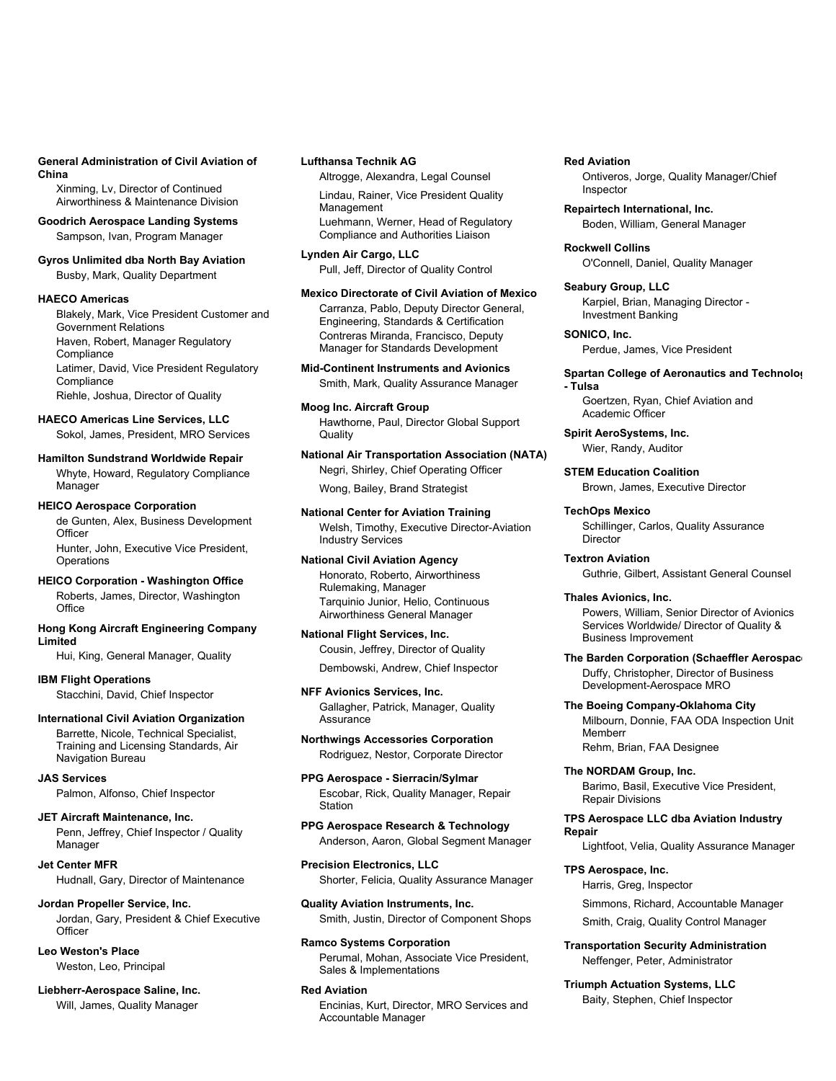#### **General Administration of Civil Aviation of China**

Xinming, Lv, Director of Continued Airworthiness & Maintenance Division

**Goodrich Aerospace Landing Systems** Sampson, Ivan, Program Manager

**Gyros Unlimited dba North Bay Aviation** Busby, Mark, Quality Department

# **HAECO Americas**

Blakely, Mark, Vice President Customer and Government Relations Haven, Robert, Manager Regulatory **Compliance** Latimer, David, Vice President Regulatory **Compliance** Riehle, Joshua, Director of Quality

**HAECO Americas Line Services, LLC** Sokol, James, President, MRO Services

**Hamilton Sundstrand Worldwide Repair** Whyte, Howard, Regulatory Compliance Manager

### **HEICO Aerospace Corporation**

de Gunten, Alex, Business Development **Officer** Hunter, John, Executive Vice President, **Operations** 

**HEICO Corporation - Washington Office** Roberts, James, Director, Washington **Office** 

**Hong Kong Aircraft Engineering Company Limited**

Hui, King, General Manager, Quality

**IBM Flight Operations** Stacchini, David, Chief Inspector

**International Civil Aviation Organization** Barrette, Nicole, Technical Specialist, Training and Licensing Standards, Air Navigation Bureau

**JAS Services** Palmon, Alfonso, Chief Inspector

**JET Aircraft Maintenance, Inc.** Penn, Jeffrey, Chief Inspector / Quality Manager

**Jet Center MFR** Hudnall, Gary, Director of Maintenance

#### **Jordan Propeller Service, Inc.**

Jordan, Gary, President & Chief Executive **Officer** 

**Leo Weston's Place** Weston, Leo, Principal

**Liebherr-Aerospace Saline, Inc.** Will, James, Quality Manager

# **Lufthansa Technik AG**

Altrogge, Alexandra, Legal Counsel

Lindau, Rainer, Vice President Quality Management Luehmann, Werner, Head of Regulatory Compliance and Authorities Liaison

**Lynden Air Cargo, LLC** Pull, Jeff, Director of Quality Control

#### **Mexico Directorate of Civil Aviation of Mexico**

Carranza, Pablo, Deputy Director General, Engineering, Standards & Certification Contreras Miranda, Francisco, Deputy Manager for Standards Development

**Mid-Continent Instruments and Avionics** Smith, Mark, Quality Assurance Manager

**Moog Inc. Aircraft Group** Hawthorne, Paul, Director Global Support **Quality** 

**National Air Transportation Association (NATA)** Negri, Shirley, Chief Operating Officer Wong, Bailey, Brand Strategist

**National Center for Aviation Training** Welsh, Timothy, Executive Director-Aviation Industry Services

**National Civil Aviation Agency** Honorato, Roberto, Airworthiness Rulemaking, Manager Tarquinio Junior, Helio, Continuous Airworthiness General Manager

**National Flight Services, Inc.** Cousin, Jeffrey, Director of Quality Dembowski, Andrew, Chief Inspector

**NFF Avionics Services, Inc.**

Gallagher, Patrick, Manager, Quality Assurance

**Northwings Accessories Corporation** Rodriguez, Nestor, Corporate Director

**PPG Aerospace - Sierracin/Sylmar** Escobar, Rick, Quality Manager, Repair Station

**PPG Aerospace Research & Technology** Anderson, Aaron, Global Segment Manager

**Precision Electronics, LLC** Shorter, Felicia, Quality Assurance Manager

**Quality Aviation Instruments, Inc.** Smith, Justin, Director of Component Shops

**Ramco Systems Corporation** Perumal, Mohan, Associate Vice President, Sales & Implementations

# **Red Aviation**

Encinias, Kurt, Director, MRO Services and Accountable Manager

#### **Red Aviation**

Ontiveros, Jorge, Quality Manager/Chief Inspector

**Repairtech International, Inc.** Boden, William, General Manager

**Rockwell Collins** O'Connell, Daniel, Quality Manager

**Seabury Group, LLC** Karpiel, Brian, Managing Director - Investment Banking

**SONICO, Inc.** Perdue, James, Vice President

### **Spartan College of Aeronautics and Technolog - Tulsa**

Goertzen, Ryan, Chief Aviation and Academic Officer

**Spirit AeroSystems, Inc.** Wier, Randy, Auditor

**STEM Education Coalition**

Brown, James, Executive Director

# **TechOps Mexico**

Schillinger, Carlos, Quality Assurance Director

**Textron Aviation** Guthrie, Gilbert, Assistant General Counsel

**Thales Avionics, Inc.** Powers, William, Senior Director of Avionics Services Worldwide/ Director of Quality & Business Improvement

**The Barden Corporation (Schaeffler Aerospace**

Duffy, Christopher, Director of Business Development-Aerospace MRO

# **The Boeing Company-Oklahoma City**

Milbourn, Donnie, FAA ODA Inspection Unit Memberr Rehm, Brian, FAA Designee

**The NORDAM Group, Inc.** Barimo, Basil, Executive Vice President, Repair Divisions

**TPS Aerospace LLC dba Aviation Industry Repair**

Lightfoot, Velia, Quality Assurance Manager

# **TPS Aerospace, Inc.**

Harris, Greg, Inspector

Simmons, Richard, Accountable Manager

Smith, Craig, Quality Control Manager

**Transportation Security Administration** Neffenger, Peter, Administrator

**Triumph Actuation Systems, LLC** Baity, Stephen, Chief Inspector